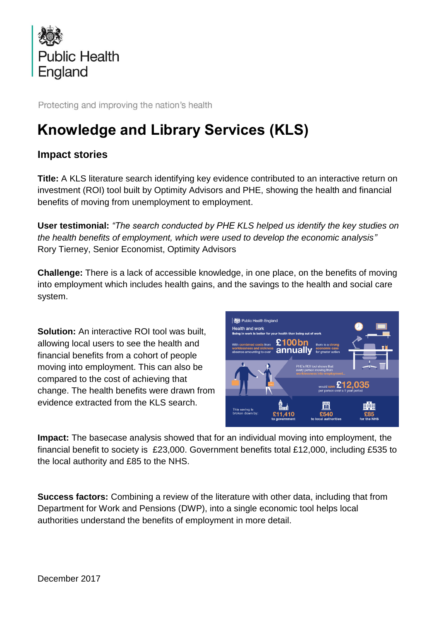

Protecting and improving the nation's health

## **Knowledge and Library Services (KLS)**

## **Impact stories**

**Title:** A KLS literature search identifying key evidence contributed to an interactive return on investment (ROI) tool built by Optimity Advisors and PHE, showing the health and financial benefits of moving from unemployment to employment.

**User testimonial:** *"The search conducted by PHE KLS helped us identify the key studies on the health benefits of employment, which were used to develop the economic analysis"*  Rory Tierney, Senior Economist, Optimity Advisors

**Challenge:** There is a lack of accessible knowledge, in one place, on the benefits of moving into employment which includes health gains, and the savings to the health and social care system.

**Solution:** An interactive ROI tool was built, allowing local users to see the health and financial benefits from a cohort of people moving into employment. This can also be compared to the cost of achieving that change. The health benefits were drawn from evidence extracted from the KLS search.



**Impact:** The basecase analysis showed that for an individual moving into employment, the financial benefit to society is £23,000. Government benefits total £12,000, including £535 to the local authority and £85 to the NHS.

**Success factors:** Combining a review of the literature with other data, including that from Department for Work and Pensions (DWP), into a single economic tool helps local authorities understand the benefits of employment in more detail.